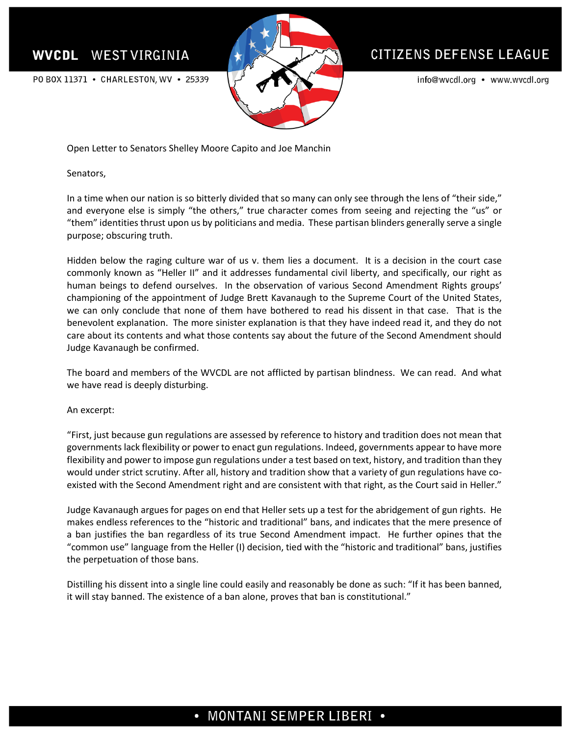## **WVCDL WEST VIRGINIA**



# **CITIZENS DEFENSE LEAGUE**

info@wvcdl.org • www.wvcdl.org

PO BOX 11371 • CHARLESTON, WV • 25339

Open Letter to Senators Shelley Moore Capito and Joe Manchin

Senators,

In a time when our nation is so bitterly divided that so many can only see through the lens of "their side," and everyone else is simply "the others," true character comes from seeing and rejecting the "us" or "them" identities thrust upon us by politicians and media. These partisan blinders generally serve a single purpose; obscuring truth.

Hidden below the raging culture war of us v. them lies a document. It is a decision in the court case commonly known as "Heller II" and it addresses fundamental civil liberty, and specifically, our right as human beings to defend ourselves. In the observation of various Second Amendment Rights groups' championing of the appointment of Judge Brett Kavanaugh to the Supreme Court of the United States, we can only conclude that none of them have bothered to read his dissent in that case. That is the benevolent explanation. The more sinister explanation is that they have indeed read it, and they do not care about its contents and what those contents say about the future of the Second Amendment should Judge Kavanaugh be confirmed.

The board and members of the WVCDL are not afflicted by partisan blindness. We can read. And what we have read is deeply disturbing.

#### An excerpt:

"First, just because gun regulations are assessed by reference to history and tradition does not mean that governments lack flexibility or power to enact gun regulations. Indeed, governments appear to have more flexibility and power to impose gun regulations under a test based on text, history, and tradition than they would under strict scrutiny. After all, history and tradition show that a variety of gun regulations have coexisted with the Second Amendment right and are consistent with that right, as the Court said in Heller."

Judge Kavanaugh argues for pages on end that Heller sets up a test for the abridgement of gun rights. He makes endless references to the "historic and traditional" bans, and indicates that the mere presence of a ban justifies the ban regardless of its true Second Amendment impact. He further opines that the "common use" language from the Heller (I) decision, tied with the "historic and traditional" bans, justifies the perpetuation of those bans.

Distilling his dissent into a single line could easily and reasonably be done as such: "If it has been banned, it will stay banned. The existence of a ban alone, proves that ban is constitutional."

# • MONTANI SEMPER LIBERI •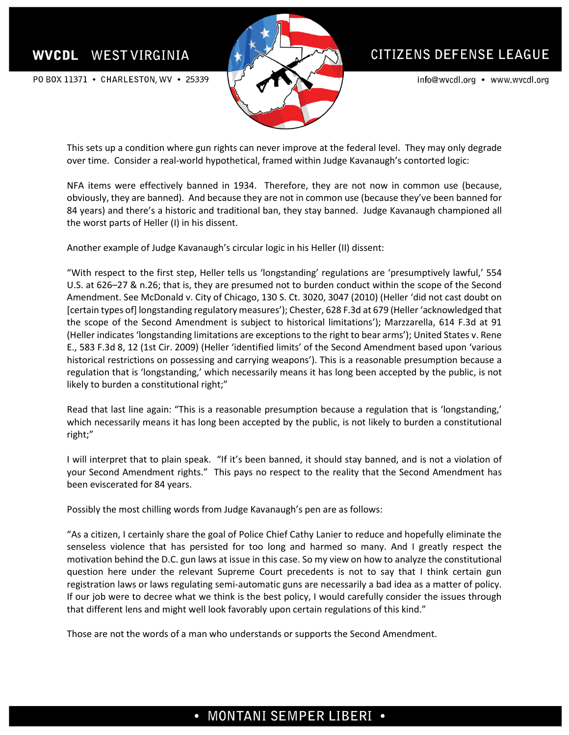## **WVCDL WEST VIRGINIA**

PO BOX 11371 • CHARLESTON, WV • 25339



# CITIZENS DEFENSE LEAGUE

info@wvcdl.org • www.wvcdl.org

This sets up a condition where gun rights can never improve at the federal level. They may only degrade over time. Consider a real-world hypothetical, framed within Judge Kavanaugh's contorted logic:

NFA items were effectively banned in 1934. Therefore, they are not now in common use (because, obviously, they are banned). And because they are not in common use (because they've been banned for 84 years) and there's a historic and traditional ban, they stay banned. Judge Kavanaugh championed all the worst parts of Heller (I) in his dissent.

Another example of Judge Kavanaugh's circular logic in his Heller (II) dissent:

"With respect to the first step, Heller tells us 'longstanding' regulations are 'presumptively lawful,' 554 U.S. at 626–27 & n.26; that is, they are presumed not to burden conduct within the scope of the Second Amendment. See McDonald v. City of Chicago, 130 S. Ct. 3020, 3047 (2010) (Heller 'did not cast doubt on [certain types of] longstanding regulatory measures'); Chester, 628 F.3d at 679 (Heller 'acknowledged that the scope of the Second Amendment is subject to historical limitations'); Marzzarella, 614 F.3d at 91 (Heller indicates 'longstanding limitations are exceptions to the right to bear arms'); United States v. Rene E., 583 F.3d 8, 12 (1st Cir. 2009) (Heller 'identified limits' of the Second Amendment based upon 'various historical restrictions on possessing and carrying weapons'). This is a reasonable presumption because a regulation that is 'longstanding,' which necessarily means it has long been accepted by the public, is not likely to burden a constitutional right;"

Read that last line again: "This is a reasonable presumption because a regulation that is 'longstanding,' which necessarily means it has long been accepted by the public, is not likely to burden a constitutional right;"

I will interpret that to plain speak. "If it's been banned, it should stay banned, and is not a violation of your Second Amendment rights." This pays no respect to the reality that the Second Amendment has been eviscerated for 84 years.

Possibly the most chilling words from Judge Kavanaugh's pen are as follows:

"As a citizen, I certainly share the goal of Police Chief Cathy Lanier to reduce and hopefully eliminate the senseless violence that has persisted for too long and harmed so many. And I greatly respect the motivation behind the D.C. gun laws at issue in this case. So my view on how to analyze the constitutional question here under the relevant Supreme Court precedents is not to say that I think certain gun registration laws or laws regulating semi-automatic guns are necessarily a bad idea as a matter of policy. If our job were to decree what we think is the best policy, I would carefully consider the issues through that different lens and might well look favorably upon certain regulations of this kind."

Those are not the words of a man who understands or supports the Second Amendment.

# • MONTANI SEMPER LIBERI •